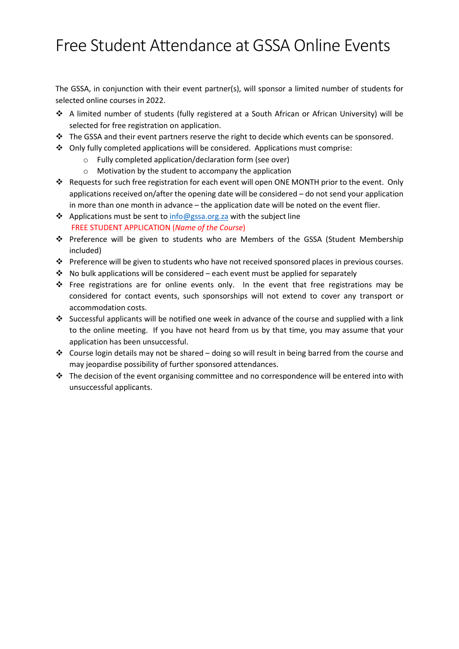## Free Student Attendance at GSSA Online Events

The GSSA, in conjunction with their event partner(s), will sponsor a limited number of students for selected online courses in 2022.

- A limited number of students (fully registered at a South African or African University) will be selected for free registration on application.
- \* The GSSA and their event partners reserve the right to decide which events can be sponsored.
- Only fully completed applications will be considered. Applications must comprise:
	- o Fully completed application/declaration form (see over)
	- o Motivation by the student to accompany the application
- Requests for such free registration for each event will open ONE MONTH prior to the event. Only applications received on/after the opening date will be considered – do not send your application in more than one month in advance – the application date will be noted on the event flier.
- $\triangle$  Applications must be sent to info@gssa.org.za with the subject line FREE STUDENT APPLICATION (Name of the Course)
- Preference will be given to students who are Members of the GSSA (Student Membership included)
- $\cdot \cdot$  Preference will be given to students who have not received sponsored places in previous courses.
- $\cdot$  No bulk applications will be considered each event must be applied for separately
- \* Free registrations are for online events only. In the event that free registrations may be considered for contact events, such sponsorships will not extend to cover any transport or accommodation costs.
- Successful applicants will be notified one week in advance of the course and supplied with a link to the online meeting. If you have not heard from us by that time, you may assume that your application has been unsuccessful.
- Course login details may not be shared doing so will result in being barred from the course and may jeopardise possibility of further sponsored attendances.
- $\cdot \cdot$  The decision of the event organising committee and no correspondence will be entered into with unsuccessful applicants.